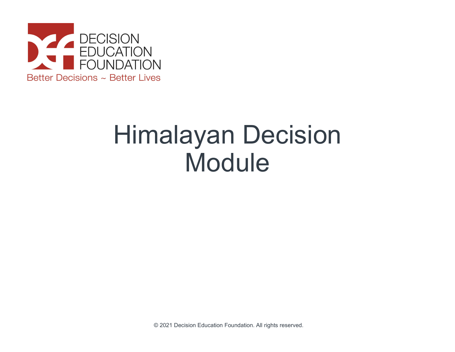

## Himalayan Decision Module

© 2021 Decision Education Foundation. All rights reserved.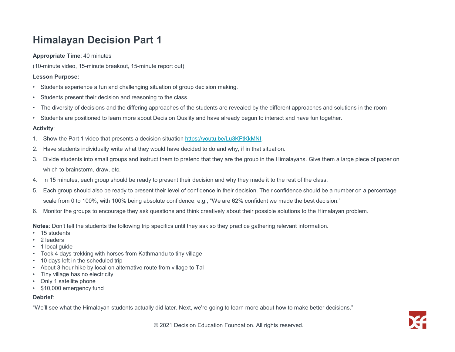# **Himalayan Decision Part 1**<br>
Appropriate Time: 40 minutes<br>
(10-minute video, 15-minute breakout, 15-minute report out)<br>
Lesson Purpose:<br>
• Students experience a fun and challenging situation of group decision making.<br>
• St Himalayan Decision Part 1

## Appropriate Time: 40 minutes

(10-minute video, 15-minute breakout, 15-minute report out)

## Lesson Purpose:

- 
- 
- **Himalayan Decision Part 1**<br>Appropriate Time: 40 minutes<br>Lesson Purpose:<br>• Students experience a fun and challenging situation of group decision making.<br>• Students are perience a fun and challenging situation of group deci **Himalayan Decision Part 1**<br>Appropriate Time: 40 minutes<br>Lesson Purpose:<br>
• Students are preince a fun and challenging situation of group decision making.<br>
• Students present their decision and reasoning to the class.<br>
• T
- **Himalayan Decision Part 1**<br>Appropriate Time: 40 minutes<br>(10-minute video, 15-minute breakout, 15-minute report out)<br>- Students experience a fun and challenging situation of group decision making.<br>- Students present their

## Activity:

- 
- 
- **1. Show that presents a decision situation** of group decision making.<br>
1. Students a sperience a fun and challenging situation of group decision making.<br>
1. Students a specification and the differing approaches of the stu **Himalayan Decision Part 1**<br>Appropriate Time:46 minutes<br>1.6 (10-minute video, 15-minute breakout, 15-minute report out)<br>1. Students experience a fun and challenging situation of group decision making.<br>1. Dividents present which to brainstorm, draw, etc. **Himalayan Decision Part 1**<br>Appropriate Time: 40 minutes<br>(10-minute video, 15-minute breakout, 15-minute report out)<br>- Students experience a fun and challenging situation of group decision making.<br>- Students present their **Fill Trial diverses (a)**<br>Appropriate Times 40, fill-minited terred of group decision making.<br>
1. Students apperience a fun and challenging situation of group decision making.<br>
• Students apperience a fun and challenging s rimules video. 15-minutes<br>simulte video. 15-minute breakout, 15-minute report out)<br>scale from the present their decision and reasoning to the class.<br>students present their decision and reasoning to the class.<br>tudents rever (10-minute video, 15-minute breakout, 15-minute report out)<br>
• Students present their decision and reasoning to the class.<br>
• Students present their decision and reasoning to the class.<br>
• The diversity of decisions and th • Students experience a fun and challenging situation of group decision mak<br>• Students present their decision and reasoning to the class.<br>• The diversity of decisions and the differing approaches of the students are<br>• Stud • Students present their decision and reasoning to the class.<br>• The diversity of decisions and the differing approaches of the students are<br>• Students are positioned to learn more about Decision Quality and have alre<br>**Acti** • Students present their decision and reasoning to the class.<br>• The diversity of decisions and the differing approaches of the students are<br>• Students are positioned to learn more about Decision Quality and have alre<br>**Acti** • The diversity of decisions and the differing approaches of the students are revealed by the different appr<br>• Students are positioned to learn more about Decision Quality and have already begun to interact and ha<br>**Activit** • Students are positioned to learn more about Decision Quality and have alre<br> **Activity:**<br>
1. Show the Part 1 video that presents a decision situation https://youtu.be/L<br>
2. Have students individually write what they woul • Students are positioned to learn more about Decision Quality and have already b<br>
4. About 1: Show the Part 1 video that presents a decision situation https://youtu.be/Lu3KFt<br>
2. Have students individually write what the **Activity:**<br>
1. Show the Part 1 video that presents a decision situation https://youtu.be/L<br>
2. Have students individually write what they would have decided to do and v<br>
3. Divide students into small groups and instruct t 1. Show the Part 1 video that presents a decision situation https://youtu.be/L<br>
2. Have students individually write what they would have decided to do and<br>
3. Divide students into small groups and instruct them to pretend 1. Show the Part 1 video that presents a decision situation https://youtu.be/L<br>
2. Have students individually write what they would have decided to do and y<br>
3. Divide students into small groups and instruct them to prete
- 
- 
- 

Notes: Don't tell the students the following trip specifics until they ask so they practice gathering relevant information.

- 
- 
- 
- 
- 
- 
- 
- 
- 

## Debrief:

"We'll see what the Himalayan students actually did later. Next, we're going to learn more about how to make better decisions."